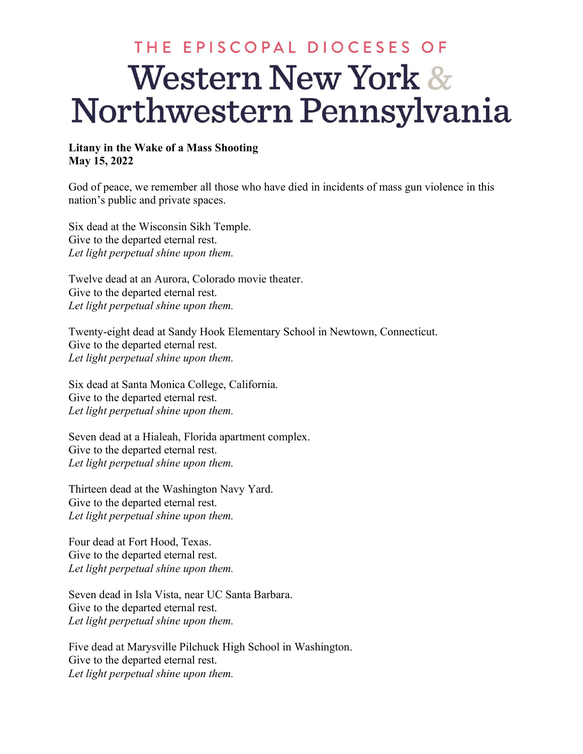## THE EPISCOPAL DIOCESES OF **Western New York &** Northwestern Pennsylvania

## **Litany in the Wake of a Mass Shooting May 15, 2022**

God of peace, we remember all those who have died in incidents of mass gun violence in this nation's public and private spaces.

Six dead at the Wisconsin Sikh Temple. Give to the departed eternal rest. *Let light perpetual shine upon them.*

Twelve dead at an Aurora, Colorado movie theater. Give to the departed eternal rest. *Let light perpetual shine upon them.*

Twenty-eight dead at Sandy Hook Elementary School in Newtown, Connecticut. Give to the departed eternal rest. *Let light perpetual shine upon them.*

Six dead at Santa Monica College, California. Give to the departed eternal rest. *Let light perpetual shine upon them.*

Seven dead at a Hialeah, Florida apartment complex. Give to the departed eternal rest. *Let light perpetual shine upon them.*

Thirteen dead at the Washington Navy Yard. Give to the departed eternal rest. *Let light perpetual shine upon them.*

Four dead at Fort Hood, Texas. Give to the departed eternal rest. *Let light perpetual shine upon them.*

Seven dead in Isla Vista, near UC Santa Barbara. Give to the departed eternal rest. *Let light perpetual shine upon them.*

Five dead at Marysville Pilchuck High School in Washington. Give to the departed eternal rest. *Let light perpetual shine upon them.*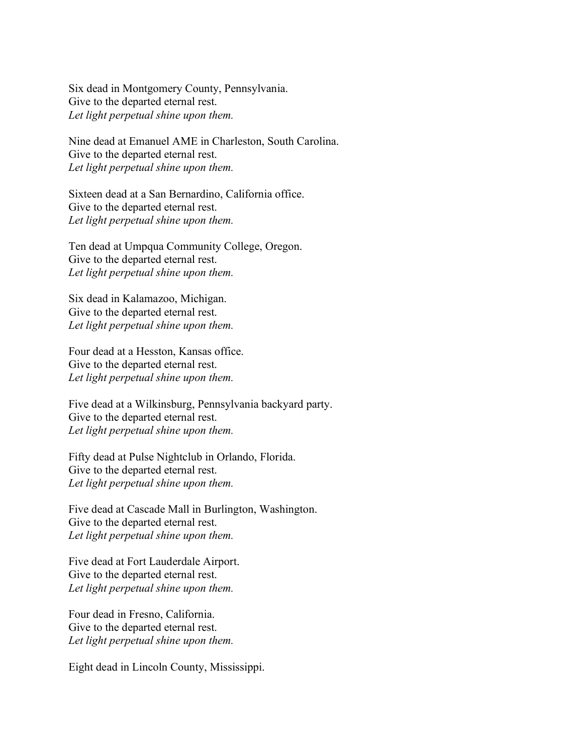Six dead in Montgomery County, Pennsylvania. Give to the departed eternal rest. *Let light perpetual shine upon them.*

Nine dead at Emanuel AME in Charleston, South Carolina. Give to the departed eternal rest. *Let light perpetual shine upon them.*

Sixteen dead at a San Bernardino, California office. Give to the departed eternal rest. *Let light perpetual shine upon them.*

Ten dead at Umpqua Community College, Oregon. Give to the departed eternal rest. *Let light perpetual shine upon them.*

Six dead in Kalamazoo, Michigan. Give to the departed eternal rest. *Let light perpetual shine upon them.*

Four dead at a Hesston, Kansas office. Give to the departed eternal rest. *Let light perpetual shine upon them.*

Five dead at a Wilkinsburg, Pennsylvania backyard party. Give to the departed eternal rest. *Let light perpetual shine upon them.*

Fifty dead at Pulse Nightclub in Orlando, Florida. Give to the departed eternal rest. *Let light perpetual shine upon them.*

Five dead at Cascade Mall in Burlington, Washington. Give to the departed eternal rest. *Let light perpetual shine upon them.*

Five dead at Fort Lauderdale Airport. Give to the departed eternal rest. *Let light perpetual shine upon them.*

Four dead in Fresno, California. Give to the departed eternal rest. *Let light perpetual shine upon them.*

Eight dead in Lincoln County, Mississippi.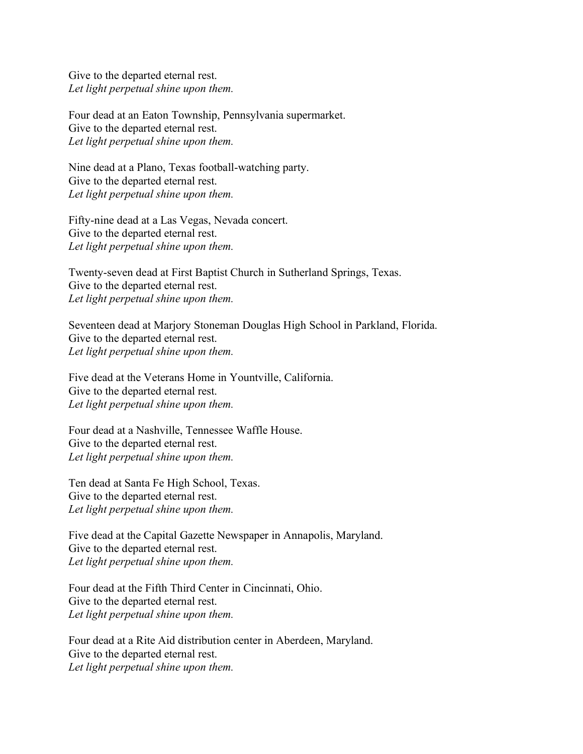Give to the departed eternal rest. *Let light perpetual shine upon them.*

Four dead at an Eaton Township, Pennsylvania supermarket. Give to the departed eternal rest. *Let light perpetual shine upon them.*

Nine dead at a Plano, Texas football-watching party. Give to the departed eternal rest. *Let light perpetual shine upon them.*

Fifty-nine dead at a Las Vegas, Nevada concert. Give to the departed eternal rest. *Let light perpetual shine upon them.*

Twenty-seven dead at First Baptist Church in Sutherland Springs, Texas. Give to the departed eternal rest. *Let light perpetual shine upon them.*

Seventeen dead at Marjory Stoneman Douglas High School in Parkland, Florida. Give to the departed eternal rest. *Let light perpetual shine upon them.*

Five dead at the Veterans Home in Yountville, California. Give to the departed eternal rest. *Let light perpetual shine upon them.*

Four dead at a Nashville, Tennessee Waffle House. Give to the departed eternal rest. *Let light perpetual shine upon them.*

Ten dead at Santa Fe High School, Texas. Give to the departed eternal rest. *Let light perpetual shine upon them.*

Five dead at the Capital Gazette Newspaper in Annapolis, Maryland. Give to the departed eternal rest. *Let light perpetual shine upon them.*

Four dead at the Fifth Third Center in Cincinnati, Ohio. Give to the departed eternal rest. *Let light perpetual shine upon them.*

Four dead at a Rite Aid distribution center in Aberdeen, Maryland. Give to the departed eternal rest. *Let light perpetual shine upon them.*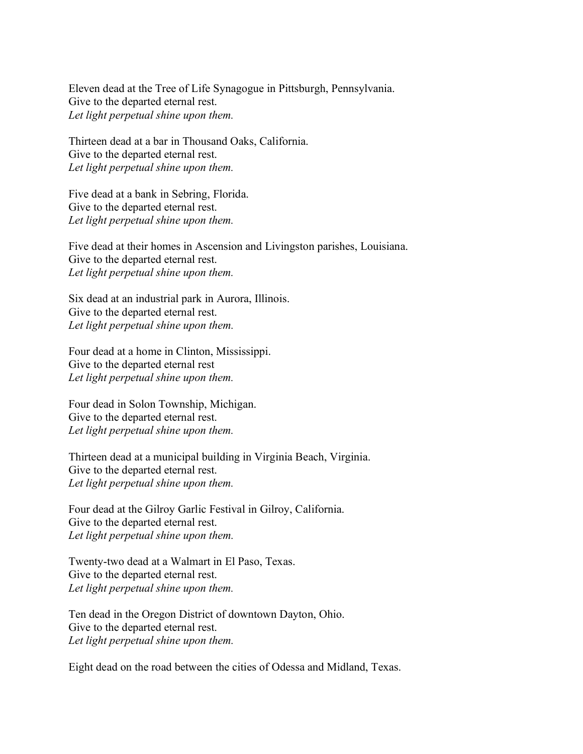Eleven dead at the Tree of Life Synagogue in Pittsburgh, Pennsylvania. Give to the departed eternal rest. *Let light perpetual shine upon them.*

Thirteen dead at a bar in Thousand Oaks, California. Give to the departed eternal rest. *Let light perpetual shine upon them.*

Five dead at a bank in Sebring, Florida. Give to the departed eternal rest. *Let light perpetual shine upon them.*

Five dead at their homes in Ascension and Livingston parishes, Louisiana. Give to the departed eternal rest. *Let light perpetual shine upon them.*

Six dead at an industrial park in Aurora, Illinois. Give to the departed eternal rest. *Let light perpetual shine upon them.*

Four dead at a home in Clinton, Mississippi. Give to the departed eternal rest *Let light perpetual shine upon them.*

Four dead in Solon Township, Michigan. Give to the departed eternal rest. *Let light perpetual shine upon them.*

Thirteen dead at a municipal building in Virginia Beach, Virginia. Give to the departed eternal rest. *Let light perpetual shine upon them.*

Four dead at the Gilroy Garlic Festival in Gilroy, California. Give to the departed eternal rest. *Let light perpetual shine upon them.*

Twenty-two dead at a Walmart in El Paso, Texas. Give to the departed eternal rest. *Let light perpetual shine upon them.*

Ten dead in the Oregon District of downtown Dayton, Ohio. Give to the departed eternal rest. *Let light perpetual shine upon them.*

Eight dead on the road between the cities of Odessa and Midland, Texas.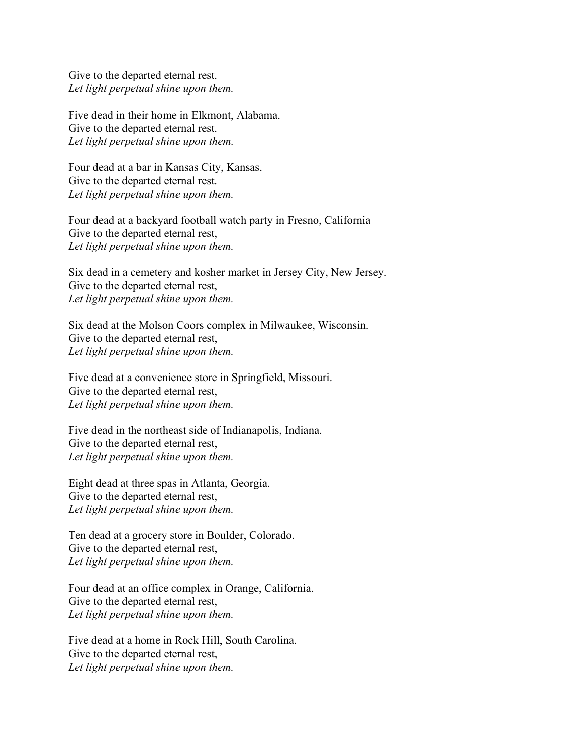Give to the departed eternal rest. *Let light perpetual shine upon them.*

Five dead in their home in Elkmont, Alabama. Give to the departed eternal rest. *Let light perpetual shine upon them.*

Four dead at a bar in Kansas City, Kansas. Give to the departed eternal rest. *Let light perpetual shine upon them.*

Four dead at a backyard football watch party in Fresno, California Give to the departed eternal rest, *Let light perpetual shine upon them.*

Six dead in a cemetery and kosher market in Jersey City, New Jersey. Give to the departed eternal rest, *Let light perpetual shine upon them.*

Six dead at the Molson Coors complex in Milwaukee, Wisconsin. Give to the departed eternal rest, *Let light perpetual shine upon them.*

Five dead at a convenience store in Springfield, Missouri. Give to the departed eternal rest, *Let light perpetual shine upon them.*

Five dead in the northeast side of Indianapolis, Indiana. Give to the departed eternal rest, *Let light perpetual shine upon them.*

Eight dead at three spas in Atlanta, Georgia. Give to the departed eternal rest, *Let light perpetual shine upon them.*

Ten dead at a grocery store in Boulder, Colorado. Give to the departed eternal rest, *Let light perpetual shine upon them.*

Four dead at an office complex in Orange, California. Give to the departed eternal rest, *Let light perpetual shine upon them.*

Five dead at a home in Rock Hill, South Carolina. Give to the departed eternal rest, *Let light perpetual shine upon them.*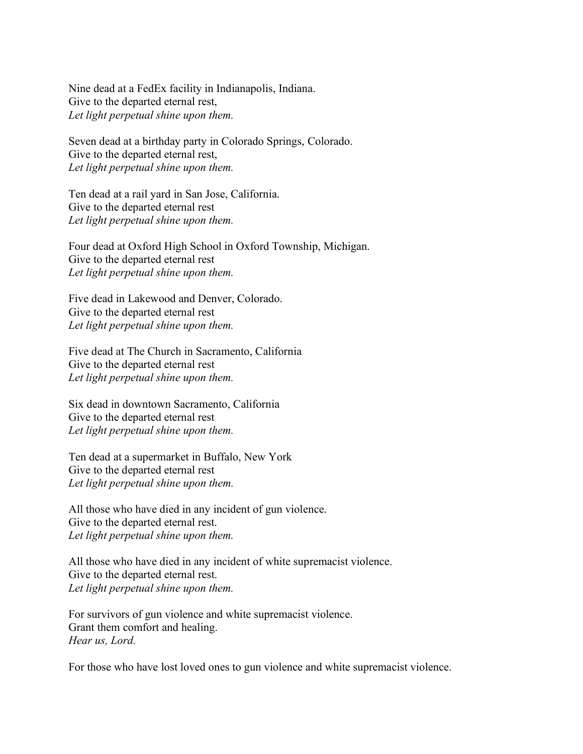Nine dead at a FedEx facility in Indianapolis, Indiana. Give to the departed eternal rest, *Let light perpetual shine upon them.*

Seven dead at a birthday party in Colorado Springs, Colorado. Give to the departed eternal rest, *Let light perpetual shine upon them.*

Ten dead at a rail yard in San Jose, California. Give to the departed eternal rest *Let light perpetual shine upon them.*

Four dead at Oxford High School in Oxford Township, Michigan. Give to the departed eternal rest *Let light perpetual shine upon them.*

Five dead in Lakewood and Denver, Colorado. Give to the departed eternal rest *Let light perpetual shine upon them.*

Five dead at The Church in Sacramento, California Give to the departed eternal rest *Let light perpetual shine upon them.*

Six dead in downtown Sacramento, California Give to the departed eternal rest *Let light perpetual shine upon them.*

Ten dead at a supermarket in Buffalo, New York Give to the departed eternal rest *Let light perpetual shine upon them.*

All those who have died in any incident of gun violence. Give to the departed eternal rest. *Let light perpetual shine upon them.*

All those who have died in any incident of white supremacist violence. Give to the departed eternal rest. *Let light perpetual shine upon them.*

For survivors of gun violence and white supremacist violence. Grant them comfort and healing. *Hear us, Lord.*

For those who have lost loved ones to gun violence and white supremacist violence.